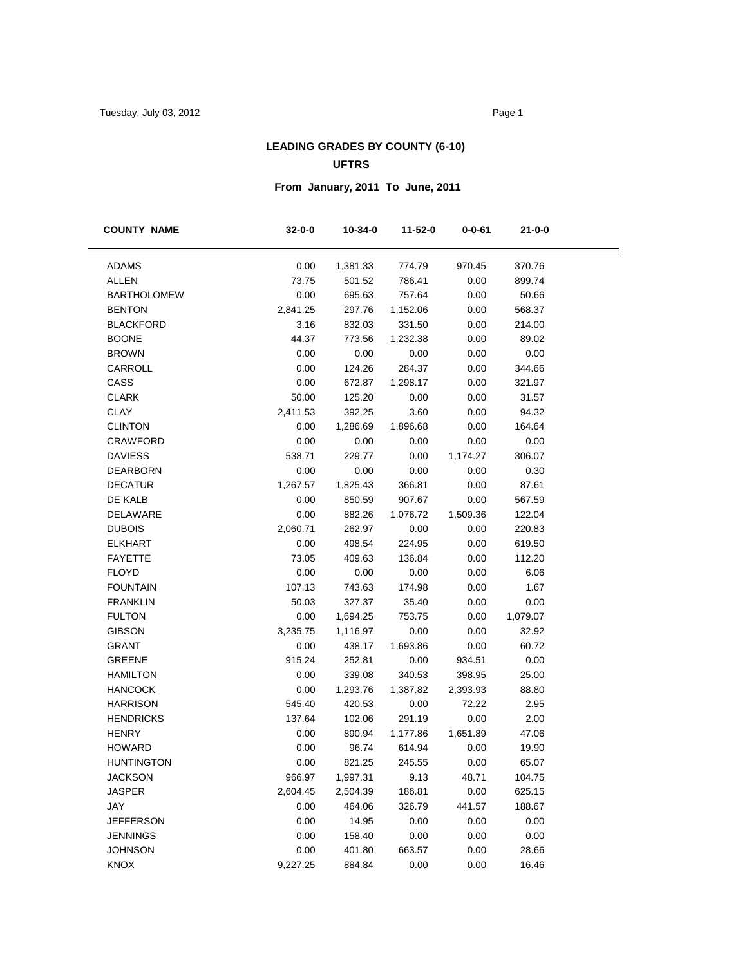# **LEADING GRADES BY COUNTY (6-10) UFTRS**

# **From January, 2011 To June, 2011**

| 0.00<br>ADAMS<br>1,381.33<br>774.79<br>970.45<br>370.76<br>73.75<br>ALLEN<br>501.52<br>786.41<br>0.00<br>899.74<br>0.00<br>0.00<br><b>BARTHOLOMEW</b><br>695.63<br>757.64<br>50.66<br><b>BENTON</b><br>2,841.25<br>297.76<br>1,152.06<br>0.00<br>568.37<br><b>BLACKFORD</b><br>3.16<br>832.03<br>331.50<br>0.00<br>214.00<br>44.37<br><b>BOONE</b><br>773.56<br>1,232.38<br>0.00<br>89.02<br>0.00<br>0.00<br><b>BROWN</b><br>0.00<br>0.00<br>0.00<br>0.00<br>CARROLL<br>124.26<br>284.37<br>0.00<br>344.66<br>CASS<br>0.00<br>672.87<br>1,298.17<br>0.00<br>321.97<br><b>CLARK</b><br>50.00<br>125.20<br>0.00<br>0.00<br>31.57<br><b>CLAY</b><br>3.60<br>2,411.53<br>392.25<br>0.00<br>94.32<br><b>CLINTON</b><br>0.00<br>1,286.69<br>1,896.68<br>0.00<br>164.64<br><b>CRAWFORD</b><br>0.00<br>0.00<br>0.00<br>0.00<br>0.00<br><b>DAVIESS</b><br>538.71<br>229.77<br>0.00<br>1,174.27<br>306.07<br>0.00<br><b>DEARBORN</b><br>0.00<br>0.00<br>0.00<br>0.30<br><b>DECATUR</b><br>87.61<br>1,267.57<br>1,825.43<br>366.81<br>0.00<br>DE KALB<br>0.00<br>850.59<br>907.67<br>0.00<br>567.59<br>DELAWARE<br>0.00<br>882.26<br>1,076.72<br>1,509.36<br>122.04<br>2,060.71<br><b>DUBOIS</b><br>262.97<br>0.00<br>0.00<br>220.83<br><b>ELKHART</b><br>0.00<br>0.00<br>498.54<br>224.95<br>619.50<br><b>FAYETTE</b><br>73.05<br>0.00<br>409.63<br>136.84<br>112.20<br>0.00<br>0.00<br><b>FLOYD</b><br>0.00<br>0.00<br>6.06<br><b>FOUNTAIN</b><br>107.13<br>1.67<br>743.63<br>174.98<br>0.00<br><b>FRANKLIN</b><br>50.03<br>0.00<br>327.37<br>35.40<br>0.00<br><b>FULTON</b><br>0.00<br>0.00<br>1,079.07<br>1,694.25<br>753.75 |  | $0 - 0 - 61$ | 11-52-0 | 10-34-0 | $32 - 0 - 0$ | <b>COUNTY NAME</b> |
|-----------------------------------------------------------------------------------------------------------------------------------------------------------------------------------------------------------------------------------------------------------------------------------------------------------------------------------------------------------------------------------------------------------------------------------------------------------------------------------------------------------------------------------------------------------------------------------------------------------------------------------------------------------------------------------------------------------------------------------------------------------------------------------------------------------------------------------------------------------------------------------------------------------------------------------------------------------------------------------------------------------------------------------------------------------------------------------------------------------------------------------------------------------------------------------------------------------------------------------------------------------------------------------------------------------------------------------------------------------------------------------------------------------------------------------------------------------------------------------------------------------------------------------------------------------------------------------------------------------------------|--|--------------|---------|---------|--------------|--------------------|
|                                                                                                                                                                                                                                                                                                                                                                                                                                                                                                                                                                                                                                                                                                                                                                                                                                                                                                                                                                                                                                                                                                                                                                                                                                                                                                                                                                                                                                                                                                                                                                                                                       |  |              |         |         |              |                    |
|                                                                                                                                                                                                                                                                                                                                                                                                                                                                                                                                                                                                                                                                                                                                                                                                                                                                                                                                                                                                                                                                                                                                                                                                                                                                                                                                                                                                                                                                                                                                                                                                                       |  |              |         |         |              |                    |
|                                                                                                                                                                                                                                                                                                                                                                                                                                                                                                                                                                                                                                                                                                                                                                                                                                                                                                                                                                                                                                                                                                                                                                                                                                                                                                                                                                                                                                                                                                                                                                                                                       |  |              |         |         |              |                    |
|                                                                                                                                                                                                                                                                                                                                                                                                                                                                                                                                                                                                                                                                                                                                                                                                                                                                                                                                                                                                                                                                                                                                                                                                                                                                                                                                                                                                                                                                                                                                                                                                                       |  |              |         |         |              |                    |
|                                                                                                                                                                                                                                                                                                                                                                                                                                                                                                                                                                                                                                                                                                                                                                                                                                                                                                                                                                                                                                                                                                                                                                                                                                                                                                                                                                                                                                                                                                                                                                                                                       |  |              |         |         |              |                    |
|                                                                                                                                                                                                                                                                                                                                                                                                                                                                                                                                                                                                                                                                                                                                                                                                                                                                                                                                                                                                                                                                                                                                                                                                                                                                                                                                                                                                                                                                                                                                                                                                                       |  |              |         |         |              |                    |
|                                                                                                                                                                                                                                                                                                                                                                                                                                                                                                                                                                                                                                                                                                                                                                                                                                                                                                                                                                                                                                                                                                                                                                                                                                                                                                                                                                                                                                                                                                                                                                                                                       |  |              |         |         |              |                    |
|                                                                                                                                                                                                                                                                                                                                                                                                                                                                                                                                                                                                                                                                                                                                                                                                                                                                                                                                                                                                                                                                                                                                                                                                                                                                                                                                                                                                                                                                                                                                                                                                                       |  |              |         |         |              |                    |
|                                                                                                                                                                                                                                                                                                                                                                                                                                                                                                                                                                                                                                                                                                                                                                                                                                                                                                                                                                                                                                                                                                                                                                                                                                                                                                                                                                                                                                                                                                                                                                                                                       |  |              |         |         |              |                    |
|                                                                                                                                                                                                                                                                                                                                                                                                                                                                                                                                                                                                                                                                                                                                                                                                                                                                                                                                                                                                                                                                                                                                                                                                                                                                                                                                                                                                                                                                                                                                                                                                                       |  |              |         |         |              |                    |
|                                                                                                                                                                                                                                                                                                                                                                                                                                                                                                                                                                                                                                                                                                                                                                                                                                                                                                                                                                                                                                                                                                                                                                                                                                                                                                                                                                                                                                                                                                                                                                                                                       |  |              |         |         |              |                    |
|                                                                                                                                                                                                                                                                                                                                                                                                                                                                                                                                                                                                                                                                                                                                                                                                                                                                                                                                                                                                                                                                                                                                                                                                                                                                                                                                                                                                                                                                                                                                                                                                                       |  |              |         |         |              |                    |
|                                                                                                                                                                                                                                                                                                                                                                                                                                                                                                                                                                                                                                                                                                                                                                                                                                                                                                                                                                                                                                                                                                                                                                                                                                                                                                                                                                                                                                                                                                                                                                                                                       |  |              |         |         |              |                    |
|                                                                                                                                                                                                                                                                                                                                                                                                                                                                                                                                                                                                                                                                                                                                                                                                                                                                                                                                                                                                                                                                                                                                                                                                                                                                                                                                                                                                                                                                                                                                                                                                                       |  |              |         |         |              |                    |
|                                                                                                                                                                                                                                                                                                                                                                                                                                                                                                                                                                                                                                                                                                                                                                                                                                                                                                                                                                                                                                                                                                                                                                                                                                                                                                                                                                                                                                                                                                                                                                                                                       |  |              |         |         |              |                    |
|                                                                                                                                                                                                                                                                                                                                                                                                                                                                                                                                                                                                                                                                                                                                                                                                                                                                                                                                                                                                                                                                                                                                                                                                                                                                                                                                                                                                                                                                                                                                                                                                                       |  |              |         |         |              |                    |
|                                                                                                                                                                                                                                                                                                                                                                                                                                                                                                                                                                                                                                                                                                                                                                                                                                                                                                                                                                                                                                                                                                                                                                                                                                                                                                                                                                                                                                                                                                                                                                                                                       |  |              |         |         |              |                    |
|                                                                                                                                                                                                                                                                                                                                                                                                                                                                                                                                                                                                                                                                                                                                                                                                                                                                                                                                                                                                                                                                                                                                                                                                                                                                                                                                                                                                                                                                                                                                                                                                                       |  |              |         |         |              |                    |
|                                                                                                                                                                                                                                                                                                                                                                                                                                                                                                                                                                                                                                                                                                                                                                                                                                                                                                                                                                                                                                                                                                                                                                                                                                                                                                                                                                                                                                                                                                                                                                                                                       |  |              |         |         |              |                    |
|                                                                                                                                                                                                                                                                                                                                                                                                                                                                                                                                                                                                                                                                                                                                                                                                                                                                                                                                                                                                                                                                                                                                                                                                                                                                                                                                                                                                                                                                                                                                                                                                                       |  |              |         |         |              |                    |
|                                                                                                                                                                                                                                                                                                                                                                                                                                                                                                                                                                                                                                                                                                                                                                                                                                                                                                                                                                                                                                                                                                                                                                                                                                                                                                                                                                                                                                                                                                                                                                                                                       |  |              |         |         |              |                    |
|                                                                                                                                                                                                                                                                                                                                                                                                                                                                                                                                                                                                                                                                                                                                                                                                                                                                                                                                                                                                                                                                                                                                                                                                                                                                                                                                                                                                                                                                                                                                                                                                                       |  |              |         |         |              |                    |
|                                                                                                                                                                                                                                                                                                                                                                                                                                                                                                                                                                                                                                                                                                                                                                                                                                                                                                                                                                                                                                                                                                                                                                                                                                                                                                                                                                                                                                                                                                                                                                                                                       |  |              |         |         |              |                    |
|                                                                                                                                                                                                                                                                                                                                                                                                                                                                                                                                                                                                                                                                                                                                                                                                                                                                                                                                                                                                                                                                                                                                                                                                                                                                                                                                                                                                                                                                                                                                                                                                                       |  |              |         |         |              |                    |
|                                                                                                                                                                                                                                                                                                                                                                                                                                                                                                                                                                                                                                                                                                                                                                                                                                                                                                                                                                                                                                                                                                                                                                                                                                                                                                                                                                                                                                                                                                                                                                                                                       |  |              |         |         |              |                    |
| <b>GIBSON</b><br>3,235.75<br>0.00<br>1,116.97<br>0.00<br>32.92                                                                                                                                                                                                                                                                                                                                                                                                                                                                                                                                                                                                                                                                                                                                                                                                                                                                                                                                                                                                                                                                                                                                                                                                                                                                                                                                                                                                                                                                                                                                                        |  |              |         |         |              |                    |
| <b>GRANT</b><br>0.00<br>60.72<br>438.17<br>1,693.86<br>0.00                                                                                                                                                                                                                                                                                                                                                                                                                                                                                                                                                                                                                                                                                                                                                                                                                                                                                                                                                                                                                                                                                                                                                                                                                                                                                                                                                                                                                                                                                                                                                           |  |              |         |         |              |                    |
| <b>GREENE</b><br>915.24<br>0.00<br>252.81<br>0.00<br>934.51                                                                                                                                                                                                                                                                                                                                                                                                                                                                                                                                                                                                                                                                                                                                                                                                                                                                                                                                                                                                                                                                                                                                                                                                                                                                                                                                                                                                                                                                                                                                                           |  |              |         |         |              |                    |
| <b>HAMILTON</b><br>0.00<br>25.00<br>339.08<br>340.53<br>398.95                                                                                                                                                                                                                                                                                                                                                                                                                                                                                                                                                                                                                                                                                                                                                                                                                                                                                                                                                                                                                                                                                                                                                                                                                                                                                                                                                                                                                                                                                                                                                        |  |              |         |         |              |                    |
| <b>HANCOCK</b><br>0.00<br>1,293.76<br>1,387.82<br>2,393.93<br>88.80                                                                                                                                                                                                                                                                                                                                                                                                                                                                                                                                                                                                                                                                                                                                                                                                                                                                                                                                                                                                                                                                                                                                                                                                                                                                                                                                                                                                                                                                                                                                                   |  |              |         |         |              |                    |
| <b>HARRISON</b><br>545.40<br>2.95<br>420.53<br>0.00<br>72.22                                                                                                                                                                                                                                                                                                                                                                                                                                                                                                                                                                                                                                                                                                                                                                                                                                                                                                                                                                                                                                                                                                                                                                                                                                                                                                                                                                                                                                                                                                                                                          |  |              |         |         |              |                    |
| 0.00<br>2.00<br><b>HENDRICKS</b><br>137.64<br>102.06<br>291.19                                                                                                                                                                                                                                                                                                                                                                                                                                                                                                                                                                                                                                                                                                                                                                                                                                                                                                                                                                                                                                                                                                                                                                                                                                                                                                                                                                                                                                                                                                                                                        |  |              |         |         |              |                    |
| <b>HENRY</b><br>47.06<br>0.00<br>890.94<br>1,177.86<br>1,651.89                                                                                                                                                                                                                                                                                                                                                                                                                                                                                                                                                                                                                                                                                                                                                                                                                                                                                                                                                                                                                                                                                                                                                                                                                                                                                                                                                                                                                                                                                                                                                       |  |              |         |         |              |                    |
| <b>HOWARD</b><br>0.00<br>0.00<br>19.90<br>96.74<br>614.94                                                                                                                                                                                                                                                                                                                                                                                                                                                                                                                                                                                                                                                                                                                                                                                                                                                                                                                                                                                                                                                                                                                                                                                                                                                                                                                                                                                                                                                                                                                                                             |  |              |         |         |              |                    |
| 0.00<br>821.25<br>65.07<br><b>HUNTINGTON</b><br>245.55<br>0.00                                                                                                                                                                                                                                                                                                                                                                                                                                                                                                                                                                                                                                                                                                                                                                                                                                                                                                                                                                                                                                                                                                                                                                                                                                                                                                                                                                                                                                                                                                                                                        |  |              |         |         |              |                    |
| <b>JACKSON</b><br>966.97<br>9.13<br>48.71<br>104.75<br>1,997.31                                                                                                                                                                                                                                                                                                                                                                                                                                                                                                                                                                                                                                                                                                                                                                                                                                                                                                                                                                                                                                                                                                                                                                                                                                                                                                                                                                                                                                                                                                                                                       |  |              |         |         |              |                    |
| 186.81<br>0.00<br><b>JASPER</b><br>2,604.45<br>625.15<br>2,504.39                                                                                                                                                                                                                                                                                                                                                                                                                                                                                                                                                                                                                                                                                                                                                                                                                                                                                                                                                                                                                                                                                                                                                                                                                                                                                                                                                                                                                                                                                                                                                     |  |              |         |         |              |                    |
| JAY<br>0.00<br>464.06<br>326.79<br>441.57<br>188.67                                                                                                                                                                                                                                                                                                                                                                                                                                                                                                                                                                                                                                                                                                                                                                                                                                                                                                                                                                                                                                                                                                                                                                                                                                                                                                                                                                                                                                                                                                                                                                   |  |              |         |         |              |                    |
| 0.00<br>14.95<br>0.00<br><b>JEFFERSON</b><br>0.00<br>0.00                                                                                                                                                                                                                                                                                                                                                                                                                                                                                                                                                                                                                                                                                                                                                                                                                                                                                                                                                                                                                                                                                                                                                                                                                                                                                                                                                                                                                                                                                                                                                             |  |              |         |         |              |                    |
| 0.00<br>0.00<br>0.00<br><b>JENNINGS</b><br>158.40<br>0.00                                                                                                                                                                                                                                                                                                                                                                                                                                                                                                                                                                                                                                                                                                                                                                                                                                                                                                                                                                                                                                                                                                                                                                                                                                                                                                                                                                                                                                                                                                                                                             |  |              |         |         |              |                    |
| 0.00<br>0.00<br><b>JOHNSON</b><br>401.80<br>663.57<br>28.66                                                                                                                                                                                                                                                                                                                                                                                                                                                                                                                                                                                                                                                                                                                                                                                                                                                                                                                                                                                                                                                                                                                                                                                                                                                                                                                                                                                                                                                                                                                                                           |  |              |         |         |              |                    |
| KNOX<br>9,227.25<br>0.00<br>0.00<br>16.46<br>884.84                                                                                                                                                                                                                                                                                                                                                                                                                                                                                                                                                                                                                                                                                                                                                                                                                                                                                                                                                                                                                                                                                                                                                                                                                                                                                                                                                                                                                                                                                                                                                                   |  |              |         |         |              |                    |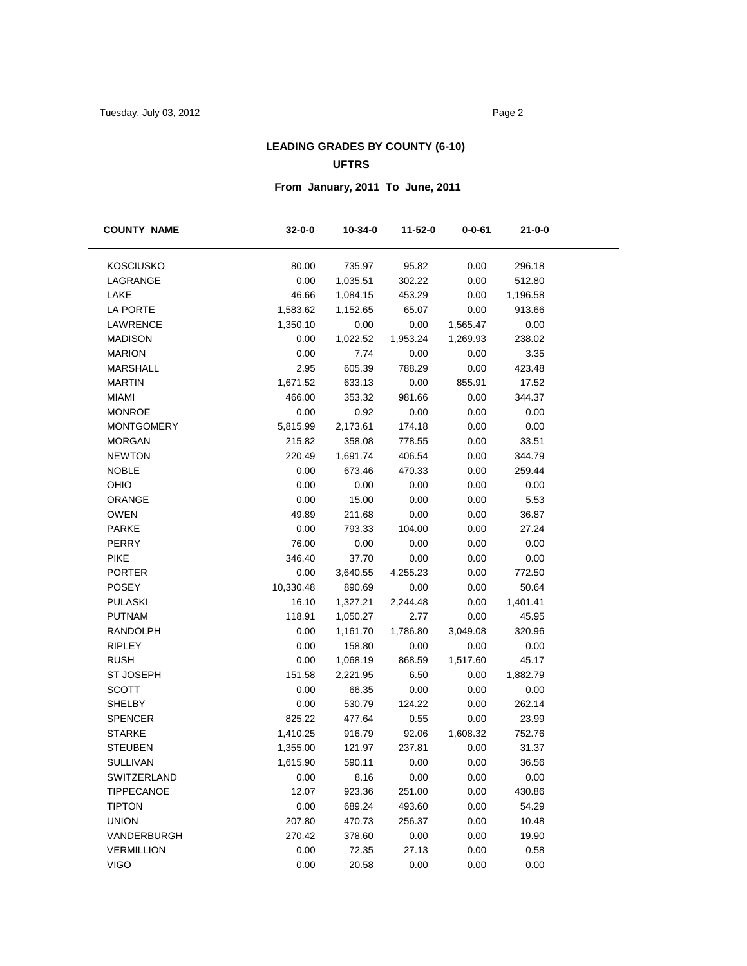# **LEADING GRADES BY COUNTY (6-10) UFTRS**

# **From January, 2011 To June, 2011**

| <b>COUNTY NAME</b> | $32 - 0 - 0$ | $10 - 34 - 0$ | $11 - 52 - 0$ | $0 - 0 - 61$ | 21-0-0   |
|--------------------|--------------|---------------|---------------|--------------|----------|
| <b>KOSCIUSKO</b>   | 80.00        | 735.97        | 95.82         | 0.00         | 296.18   |
| LAGRANGE           | 0.00         | 1,035.51      | 302.22        | 0.00         | 512.80   |
| LAKE               | 46.66        | 1,084.15      | 453.29        | 0.00         | 1,196.58 |
| LA PORTE           | 1,583.62     | 1,152.65      | 65.07         | 0.00         | 913.66   |
| LAWRENCE           | 1,350.10     | 0.00          | 0.00          | 1,565.47     | 0.00     |
| <b>MADISON</b>     | 0.00         | 1,022.52      | 1,953.24      | 1,269.93     | 238.02   |
| <b>MARION</b>      | 0.00         | 7.74          | 0.00          | 0.00         | 3.35     |
| <b>MARSHALL</b>    | 2.95         | 605.39        | 788.29        | 0.00         | 423.48   |
| <b>MARTIN</b>      | 1,671.52     | 633.13        | 0.00          | 855.91       | 17.52    |
| <b>MIAMI</b>       | 466.00       | 353.32        | 981.66        | 0.00         | 344.37   |
| <b>MONROE</b>      | 0.00         | 0.92          | 0.00          | 0.00         | 0.00     |
| <b>MONTGOMERY</b>  | 5,815.99     | 2,173.61      | 174.18        | 0.00         | 0.00     |
| <b>MORGAN</b>      | 215.82       | 358.08        | 778.55        | 0.00         | 33.51    |
| <b>NEWTON</b>      | 220.49       | 1,691.74      | 406.54        | 0.00         | 344.79   |
| <b>NOBLE</b>       | 0.00         | 673.46        | 470.33        | 0.00         | 259.44   |
| OHIO               | 0.00         | 0.00          | 0.00          | 0.00         | 0.00     |
| ORANGE             | 0.00         | 15.00         | 0.00          | 0.00         | 5.53     |
| <b>OWEN</b>        | 49.89        | 211.68        | 0.00          | 0.00         | 36.87    |
| <b>PARKE</b>       | 0.00         | 793.33        | 104.00        | 0.00         | 27.24    |
| <b>PERRY</b>       | 76.00        | 0.00          | 0.00          | 0.00         | 0.00     |
| <b>PIKE</b>        | 346.40       | 37.70         | 0.00          | 0.00         | 0.00     |
| <b>PORTER</b>      | 0.00         | 3,640.55      | 4,255.23      | 0.00         | 772.50   |
| <b>POSEY</b>       | 10,330.48    | 890.69        | 0.00          | 0.00         | 50.64    |
| <b>PULASKI</b>     | 16.10        | 1,327.21      | 2,244.48      | 0.00         | 1,401.41 |
| <b>PUTNAM</b>      | 118.91       | 1,050.27      | 2.77          | 0.00         | 45.95    |
| <b>RANDOLPH</b>    | 0.00         | 1,161.70      | 1,786.80      | 3,049.08     | 320.96   |
| <b>RIPLEY</b>      | 0.00         | 158.80        | 0.00          | 0.00         | 0.00     |
| <b>RUSH</b>        | 0.00         | 1,068.19      | 868.59        | 1,517.60     | 45.17    |
| ST JOSEPH          | 151.58       | 2,221.95      | 6.50          | 0.00         | 1,882.79 |
| <b>SCOTT</b>       | 0.00         | 66.35         | 0.00          | 0.00         | 0.00     |
| <b>SHELBY</b>      | 0.00         | 530.79        | 124.22        | 0.00         | 262.14   |
| <b>SPENCER</b>     | 825.22       | 477.64        | 0.55          | 0.00         | 23.99    |
| <b>STARKE</b>      | 1,410.25     | 916.79        | 92.06         | 1,608.32     | 752.76   |
| <b>STEUBEN</b>     | 1,355.00     | 121.97        | 237.81        | 0.00         | 31.37    |
| <b>SULLIVAN</b>    | 1,615.90     | 590.11        | 0.00          | 0.00         | 36.56    |
| SWITZERLAND        | 0.00         | 8.16          | 0.00          | 0.00         | 0.00     |
| <b>TIPPECANOE</b>  | 12.07        | 923.36        | 251.00        | 0.00         | 430.86   |
| <b>TIPTON</b>      | 0.00         | 689.24        | 493.60        | 0.00         | 54.29    |
| <b>UNION</b>       | 207.80       | 470.73        | 256.37        | 0.00         | 10.48    |
| VANDERBURGH        | 270.42       | 378.60        | 0.00          | 0.00         | 19.90    |
| <b>VERMILLION</b>  | 0.00         | 72.35         | 27.13         | 0.00         | 0.58     |
| <b>VIGO</b>        | 0.00         | 20.58         | 0.00          | 0.00         | 0.00     |